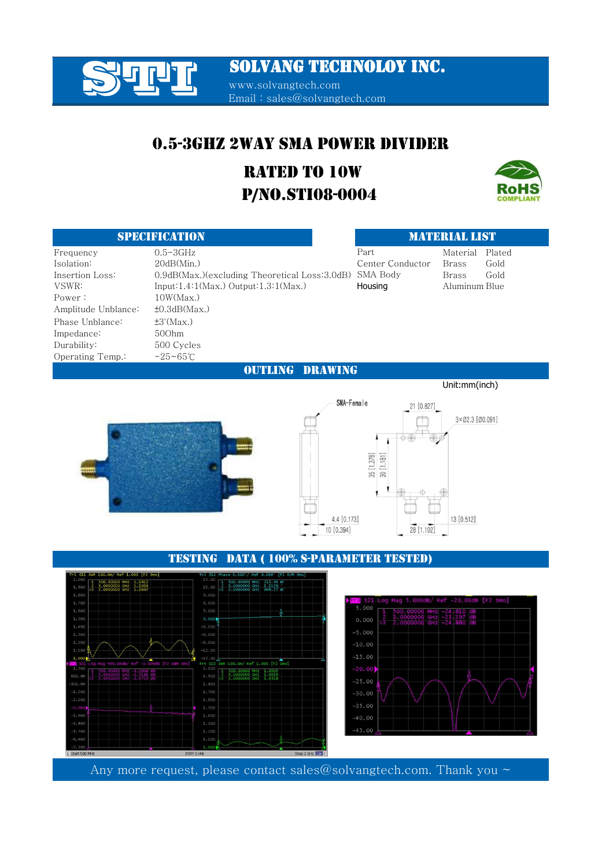### SOLVANG TECHNOLOY INC.

www.solvangtech.com Email : sales@solvangtech.com

### 0.5-3GHZ 2WAY SMA POWER DIVIDER

### P/NO.STI08-0004 RATED TO 10W



#### Frequency 0.5-3GHz Part Material Plated Isolation: 20dB(Min.) Brass Gold Center Conductor Insertion Loss:  $0.9$ dB(Max.)(excluding Theoretical Loss:3.0dB) SMA Body Brass Gold VSWR: Input:1.4:1(Max.) Output:1.3:1(Max.) Housing Aluminum Blue Power :  $10W(Max)$ Amplitude Unblance: ±0.3dB(Max.) Phase Unblance: ±3°(Max.) Impedance: 50Ohm Durability: 500 Cycles Operating Temp.: -25~65℃ SPECIFICATION AND DESCRIPTION AND DESCRIPTION AND DESCRIPTION OF A SECOND AND DESCRIPTION OF A SECOND AND DESCRIPTION Part

OUTLING DRAWING



#### TESTING DATA ( 100% S-PARAMETER TESTED)



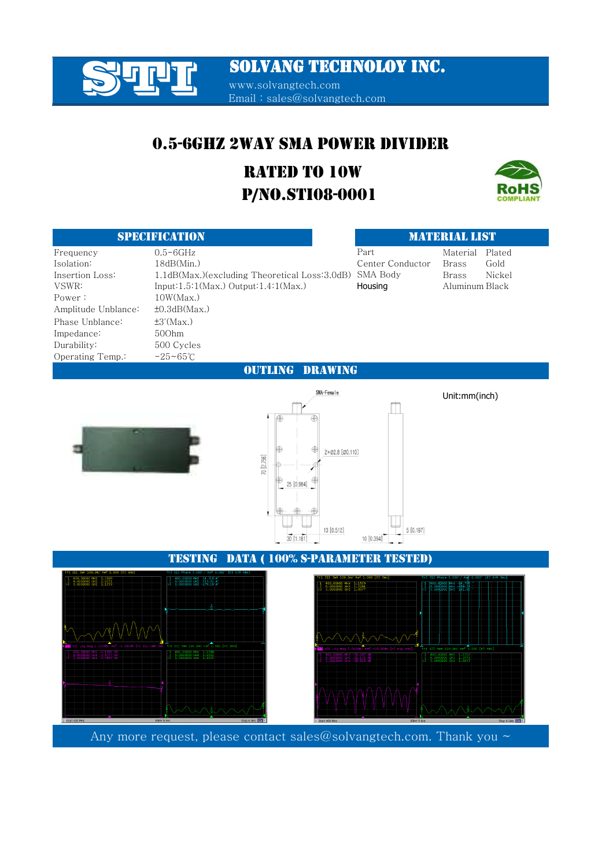T TUTT SOLVANG TECHNOLOY INC.

www.solvangtech.com Email : sales@solvangtech.com

### 0.5-6GHZ 2WAY SMA POWER DIVIDER

### P/NO.STI08-0001 RATED TO 10W



### SPECIFICATION MATERIAL LIST

| Frequency           | $0.5 - 6GHz$                                  | Part             | Material<br>Plated     |  |  |  |
|---------------------|-----------------------------------------------|------------------|------------------------|--|--|--|
| Isolation:          | 18dB(Min.)                                    | Center Conductor | <b>Brass</b><br>Gold   |  |  |  |
| Insertion Loss:     | 1.1dB(Max.)(excluding Theoretical Loss:3.0dB) | SMA Body         | Nickel<br><b>Brass</b> |  |  |  |
| VSWR:               | Input: $1.5:1(Max.)$ Output: $1.4:1(Max.)$    | Housing          | Aluminum Black         |  |  |  |
| Power:              | 10W(Max)                                      |                  |                        |  |  |  |
| Amplitude Unblance: | $\pm 0.3$ d $B$ (Max.)                        |                  |                        |  |  |  |
| Phase Unblance:     | $\pm 3^{\circ}$ (Max.)                        |                  |                        |  |  |  |
| Impedance:          | 500hm                                         |                  |                        |  |  |  |
| Durability:         | 500 Cycles                                    |                  |                        |  |  |  |
| Operating Temp.:    | $-25 - 65^{\circ}$ C                          |                  |                        |  |  |  |
| DRAWING<br>ING.     |                                               |                  |                        |  |  |  |





Unit:mm(inch)





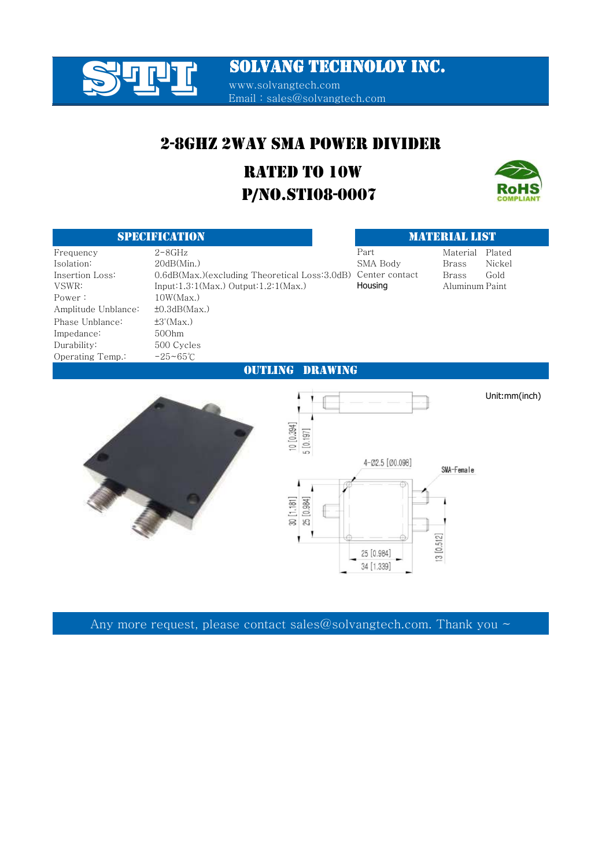

SOLVANG TECHNOLOY INC.

www.solvangtech.com Email : sales@solvangtech.com

### 2-8GHZ 2WAY SMA POWER DIVIDER

### P/NO.STI08-0007 RATED TO 10W



#### SPECIFICATION SECOND CONTRACT OF STREET AND ALL CHARGES OF STREET AND LIST

|                     |                                                              | .        |                |        |
|---------------------|--------------------------------------------------------------|----------|----------------|--------|
| Frequency           | $2 - 8$ GHz                                                  | Part     | Material       | Plated |
| Isolation:          | 20dB(Min.)                                                   | SMA Body | Brass          | Nickel |
| Insertion Loss:     | 0.6dB(Max.)(excluding Theoretical Loss:3.0dB) Center contact |          | Brass          | Gold   |
| VSWR:               | Input: $1.3:1(Max.)$ Output: $1.2:1(Max.)$                   | Housing  | Aluminum Paint |        |
| Power:              | 10W(Max)                                                     |          |                |        |
| Amplitude Unblance: | $\pm 0.3$ dB(Max.)                                           |          |                |        |
| Phase Unblance:     | $\pm 3^{\circ}$ (Max.)                                       |          |                |        |
| Impedance:          | 500hm                                                        |          |                |        |
| Durability:         | 500 Cycles                                                   |          |                |        |
| Operating Temp.:    | $-25 - 65^{\circ}$ C                                         |          |                |        |

#### OUTLING DRAWING

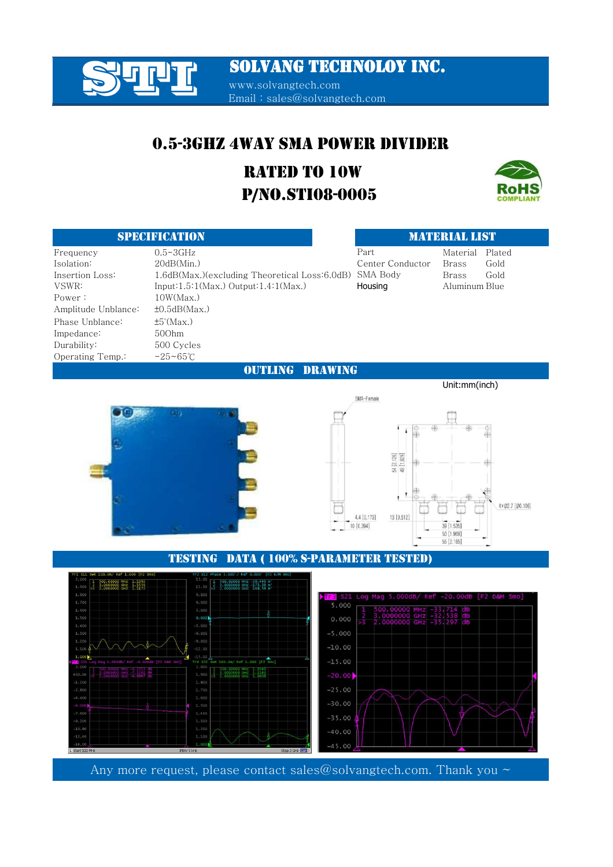# **SOLVANG TECHNOLOY INC.**<br>
WWW.solvangtech.com

www.solvangtech.com Email : sales@solvangtech.com

### 0.5-3GHZ 4WAY SMA POWER DIVIDER

### P/NO.STI08-0005 RATED TO 10W



| <b>SPECIFICATION</b> |                                               | <b>MATERIAL LIST</b> |               |        |
|----------------------|-----------------------------------------------|----------------------|---------------|--------|
| Frequency            | $0.5 - 3GHz$                                  | Part                 | Material      | Plated |
| Isolation:           | 20dB(Min.)                                    | Center Conductor     | Brass         | Gold   |
| Insertion Loss:      | 1.6dB(Max.)(excluding Theoretical Loss:6.0dB) | SMA Body             | <b>Brass</b>  | Gold   |
| VSWR:                | Input: $1.5:1(Max.)$ Output: $1.4:1(Max.)$    | Housing              | Aluminum Blue |        |
| Power :              | 10W(Max)                                      |                      |               |        |
| Amplitude Unblance:  | $\pm 0.5$ dB(Max.)                            |                      |               |        |
| Phase Unblance:      | $\pm 5^{\circ}$ (Max.)                        |                      |               |        |
| Impedance:           | 500hm                                         |                      |               |        |
| Durabilitv:          | 500 Cycles                                    |                      |               |        |
| Operating Temp.∶     | $-25 - 65^{\circ}$ C                          |                      |               |        |

OUTLING DRAWING



#### SMA-Female  $\overline{\textbf{A}}$ Æ 54 [2.126]<br>49 [1.929]  $\mathbf{I}$ 4×02.7 [00.106] 13 [0.512] 4.4 [0.173] 39 [1.535] 10 [0.394] 50 [1.969] 55 [2.165]

Unit:mm(inch)